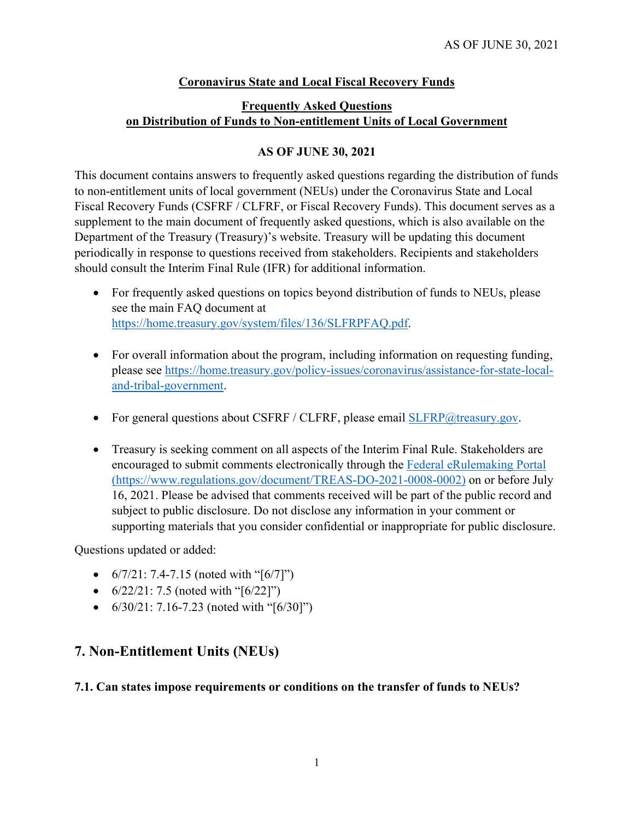### **Coronavirus State and Local Fiscal Recovery Funds**

### **Frequently Asked Questions on Distribution of Funds to Non-entitlement Units of Local Government**

### **AS OF JUNE 30, 2021**

This document contains answers to frequently asked questions regarding the distribution of funds to non-entitlement units of local government (NEUs) under the Coronavirus State and Local Fiscal Recovery Funds (CSFRF / CLFRF, or Fiscal Recovery Funds). This document serves as a supplement to the main document of frequently asked questions, which is also available on the Department of the Treasury (Treasury)'s website. Treasury will be updating this document periodically in response to questions received from stakeholders. Recipients and stakeholders should consult the Interim Final Rule (IFR) for additional information.

- For frequently asked questions on topics beyond distribution of funds to NEUs, please see the main FAQ document at [https://home.treasury.gov/system/files/136/SLFRPFAQ.pdf.](https://home.treasury.gov/system/files/136/SLFRPFAQ.pdf)
- For overall information about the program, including information on requesting funding, please see [https://home.treasury.gov/policy-issues/coronavirus/assistance-for-state-local](https://home.treasury.gov/policy-issues/coronavirus/assistance-for-state-local-%20and-tribal-government)[and-tribal-government.](https://home.treasury.gov/policy-issues/coronavirus/assistance-for-state-local-%20and-tribal-government)
- For general questions about CSFRF / CLFRF, please email **SLFRP**@treasury.gov.
- Treasury is seeking comment on all aspects of the Interim Final Rule. Stakeholders are encouraged to submit comments electronically through the [Federal eRulemaking Portal](https://www.regulations.gov/document/TREAS-DO-2021-0008-0002)  [\(https://www.regulations.gov/document/TREAS-DO-2021-0008-0002\)](https://www.regulations.gov/document/TREAS-DO-2021-0008-0002) on or before July 16, 2021. Please be advised that comments received will be part of the public record and subject to public disclosure. Do not disclose any information in your comment or supporting materials that you consider confidential or inappropriate for public disclosure.

Questions updated or added:

- $6/7/21: 7.4-7.15$  (noted with "[6/7]")
- $6/22/21$ : 7.5 (noted with "[6/22]")
- $6/30/21: 7.16-7.23$  (noted with "[6/30]")

# **7. Non-Entitlement Units (NEUs)**

### **7.1. Can states impose requirements or conditions on the transfer of funds to NEUs?**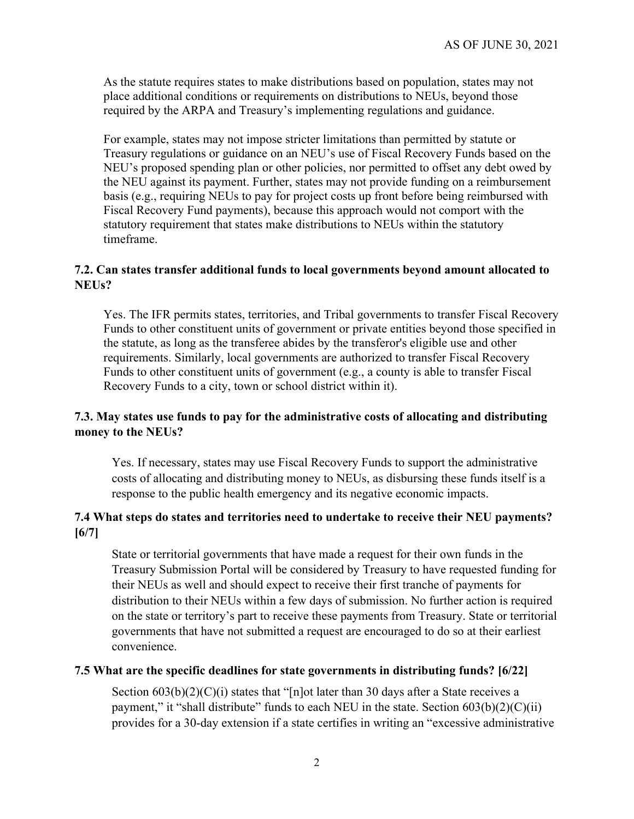As the statute requires states to make distributions based on population, states may not place additional conditions or requirements on distributions to NEUs, beyond those required by the ARPA and Treasury's implementing regulations and guidance.

For example, states may not impose stricter limitations than permitted by statute or Treasury regulations or guidance on an NEU's use of Fiscal Recovery Funds based on the NEU's proposed spending plan or other policies, nor permitted to offset any debt owed by the NEU against its payment. Further, states may not provide funding on a reimbursement basis (e.g., requiring NEUs to pay for project costs up front before being reimbursed with Fiscal Recovery Fund payments), because this approach would not comport with the statutory requirement that states make distributions to NEUs within the statutory timeframe.

#### **7.2. Can states transfer additional funds to local governments beyond amount allocated to NEUs?**

Yes. The IFR permits states, territories, and Tribal governments to transfer Fiscal Recovery Funds to other constituent units of government or private entities beyond those specified in the statute, as long as the transferee abides by the transferor's eligible use and other requirements. Similarly, local governments are authorized to transfer Fiscal Recovery Funds to other constituent units of government (e.g., a county is able to transfer Fiscal Recovery Funds to a city, town or school district within it).

#### **7.3. May states use funds to pay for the administrative costs of allocating and distributing money to the NEUs?**

Yes. If necessary, states may use Fiscal Recovery Funds to support the administrative costs of allocating and distributing money to NEUs, as disbursing these funds itself is a response to the public health emergency and its negative economic impacts.

#### **7.4 What steps do states and territories need to undertake to receive their NEU payments? [6/7]**

State or territorial governments that have made a request for their own funds in the Treasury Submission Portal will be considered by Treasury to have requested funding for their NEUs as well and should expect to receive their first tranche of payments for distribution to their NEUs within a few days of submission. No further action is required on the state or territory's part to receive these payments from Treasury. State or territorial governments that have not submitted a request are encouraged to do so at their earliest convenience.

#### **7.5 What are the specific deadlines for state governments in distributing funds? [6/22]**

Section  $603(b)(2)(C)(i)$  states that "[n]ot later than 30 days after a State receives a payment," it "shall distribute" funds to each NEU in the state. Section  $603(b)(2)(C)(ii)$ provides for a 30-day extension if a state certifies in writing an "excessive administrative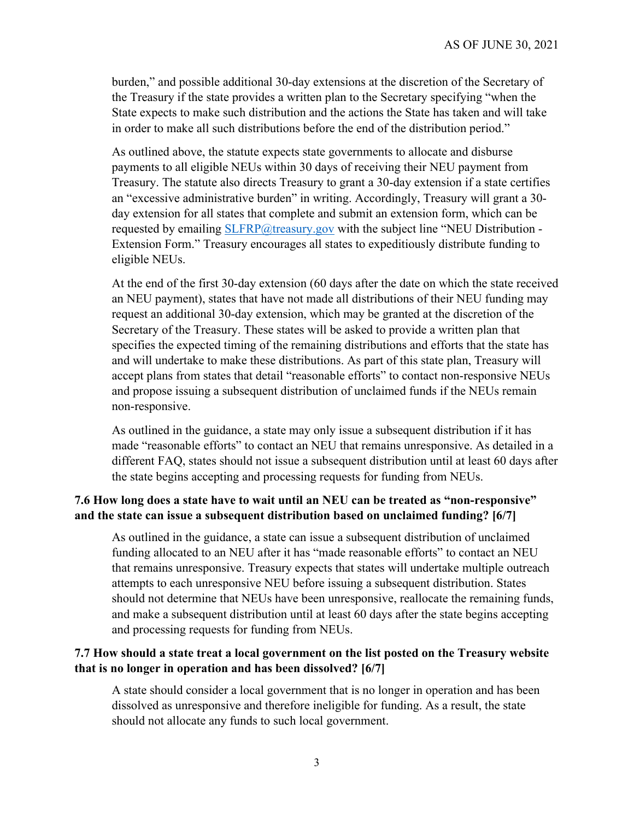burden," and possible additional 30-day extensions at the discretion of the Secretary of the Treasury if the state provides a written plan to the Secretary specifying "when the State expects to make such distribution and the actions the State has taken and will take in order to make all such distributions before the end of the distribution period."

As outlined above, the statute expects state governments to allocate and disburse payments to all eligible NEUs within 30 days of receiving their NEU payment from Treasury. The statute also directs Treasury to grant a 30-day extension if a state certifies an "excessive administrative burden" in writing. Accordingly, Treasury will grant a 30 day extension for all states that complete and submit an extension form, which can be requested by emailing [SLFRP@treasury.gov](mailto:SLFRP@treasury.gov) with the subject line "NEU Distribution -Extension Form." Treasury encourages all states to expeditiously distribute funding to eligible NEUs.

At the end of the first 30-day extension (60 days after the date on which the state received an NEU payment), states that have not made all distributions of their NEU funding may request an additional 30-day extension, which may be granted at the discretion of the Secretary of the Treasury. These states will be asked to provide a written plan that specifies the expected timing of the remaining distributions and efforts that the state has and will undertake to make these distributions. As part of this state plan, Treasury will accept plans from states that detail "reasonable efforts" to contact non-responsive NEUs and propose issuing a subsequent distribution of unclaimed funds if the NEUs remain non-responsive.

As outlined in the guidance, a state may only issue a subsequent distribution if it has made "reasonable efforts" to contact an NEU that remains unresponsive. As detailed in a different FAQ, states should not issue a subsequent distribution until at least 60 days after the state begins accepting and processing requests for funding from NEUs.

### **7.6 How long does a state have to wait until an NEU can be treated as "non-responsive" and the state can issue a subsequent distribution based on unclaimed funding? [6/7]**

As outlined in the guidance, a state can issue a subsequent distribution of unclaimed funding allocated to an NEU after it has "made reasonable efforts" to contact an NEU that remains unresponsive. Treasury expects that states will undertake multiple outreach attempts to each unresponsive NEU before issuing a subsequent distribution. States should not determine that NEUs have been unresponsive, reallocate the remaining funds, and make a subsequent distribution until at least 60 days after the state begins accepting and processing requests for funding from NEUs.

### **7.7 How should a state treat a local government on the list posted on the Treasury website that is no longer in operation and has been dissolved? [6/7]**

A state should consider a local government that is no longer in operation and has been dissolved as unresponsive and therefore ineligible for funding. As a result, the state should not allocate any funds to such local government.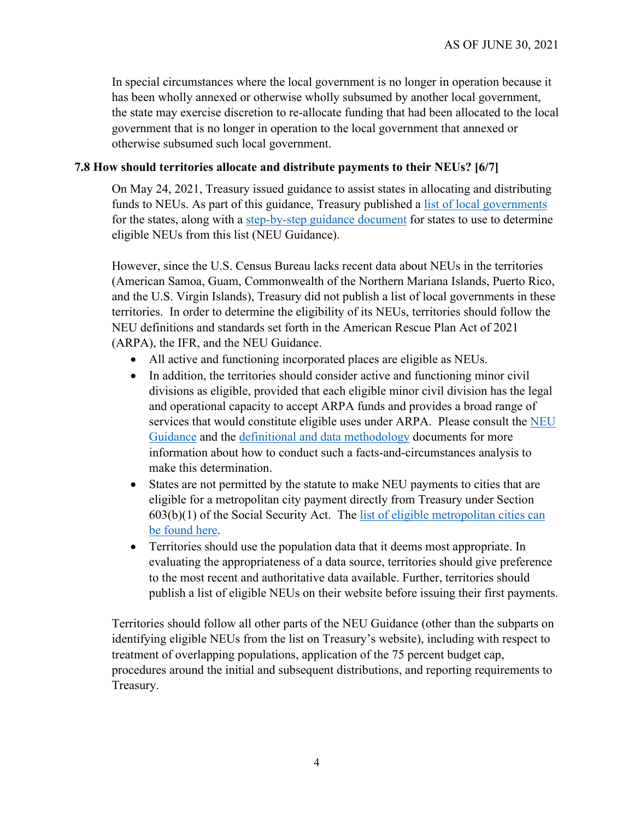In special circumstances where the local government is no longer in operation because it has been wholly annexed or otherwise wholly subsumed by another local government, the state may exercise discretion to re-allocate funding that had been allocated to the local government that is no longer in operation to the local government that annexed or otherwise subsumed such local government.

#### **7.8 How should territories allocate and distribute payments to their NEUs? [6/7]**

On May 24, 2021, Treasury issued guidance to assist states in allocating and distributing funds to NEUs. As part of this guidance, Treasury published a [list of local governments](https://home.treasury.gov/system/files/136/List_of_Local_Governments.xlsx) for the states, along with a [step-by-step guidance document](https://home.treasury.gov/system/files/136/NEU_Guidance.pdf) for states to use to determine eligible NEUs from this list (NEU Guidance).

However, since the U.S. Census Bureau lacks recent data about NEUs in the territories (American Samoa, Guam, Commonwealth of the Northern Mariana Islands, Puerto Rico, and the U.S. Virgin Islands), Treasury did not publish a list of local governments in these territories. In order to determine the eligibility of its NEUs, territories should follow the NEU definitions and standards set forth in the American Rescue Plan Act of 2021 (ARPA), the IFR, and the NEU Guidance.

- All active and functioning incorporated places are eligible as NEUs.
- In addition, the territories should consider active and functioning minor civil divisions as eligible, provided that each eligible minor civil division has the legal and operational capacity to accept ARPA funds and provides a broad range of services that would constitute eligible uses under ARPA. Please consult the [NEU](https://home.treasury.gov/system/files/136/NEU_Guidance.pdf)  [Guidance](https://home.treasury.gov/system/files/136/NEU_Guidance.pdf) and the [definitional and data methodology](https://home.treasury.gov/system/files/136/NEU_Methodology.pdf) documents for more information about how to conduct such a facts-and-circumstances analysis to make this determination.
- States are not permitted by the statute to make NEU payments to cities that are eligible for a metropolitan city payment directly from Treasury under Section 603(b)(1) of the Social Security Act. The [list of eligible metropolitan cities can](https://home.treasury.gov/system/files/136/fiscalrecoveryfunds-metrocitiesfunding1-508A.pdf)  [be found here.](https://home.treasury.gov/system/files/136/fiscalrecoveryfunds-metrocitiesfunding1-508A.pdf)
- Territories should use the population data that it deems most appropriate. In evaluating the appropriateness of a data source, territories should give preference to the most recent and authoritative data available. Further, territories should publish a list of eligible NEUs on their website before issuing their first payments.

Territories should follow all other parts of the NEU Guidance (other than the subparts on identifying eligible NEUs from the list on Treasury's website), including with respect to treatment of overlapping populations, application of the 75 percent budget cap, procedures around the initial and subsequent distributions, and reporting requirements to Treasury.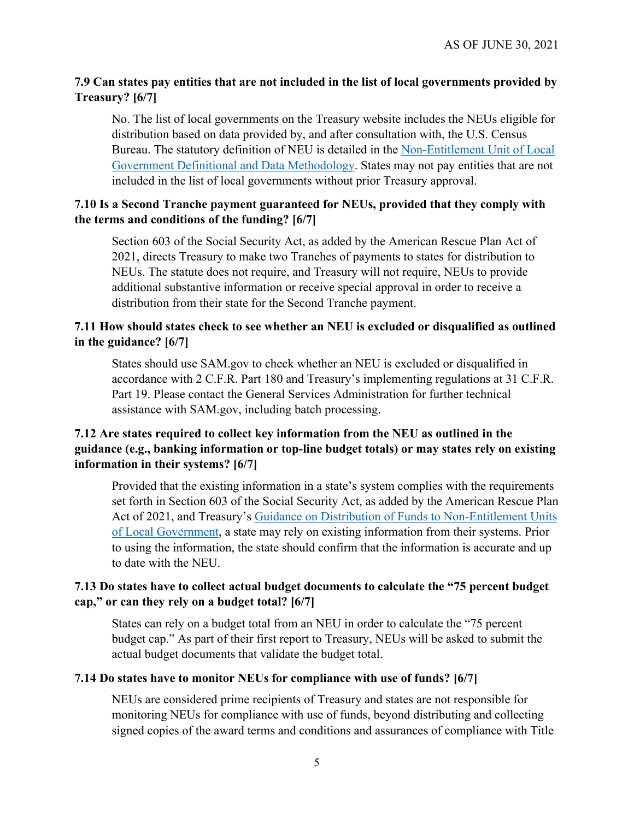### **7.9 Can states pay entities that are not included in the list of local governments provided by Treasury? [6/7]**

No. The list of local governments on the Treasury website includes the NEUs eligible for distribution based on data provided by, and after consultation with, the U.S. Census Bureau. The statutory definition of NEU is detailed in the [Non-Entitlement Unit of Local](https://home.treasury.gov/system/files/136/NEU_Methodology.pdf)  [Government Definitional and Data Methodology.](https://home.treasury.gov/system/files/136/NEU_Methodology.pdf) States may not pay entities that are not included in the list of local governments without prior Treasury approval.

### **7.10 Is a Second Tranche payment guaranteed for NEUs, provided that they comply with the terms and conditions of the funding? [6/7]**

Section 603 of the Social Security Act, as added by the American Rescue Plan Act of 2021, directs Treasury to make two Tranches of payments to states for distribution to NEUs. The statute does not require, and Treasury will not require, NEUs to provide additional substantive information or receive special approval in order to receive a distribution from their state for the Second Tranche payment.

### **7.11 How should states check to see whether an NEU is excluded or disqualified as outlined in the guidance? [6/7]**

States should use SAM.gov to check whether an NEU is excluded or disqualified in accordance with 2 C.F.R. Part 180 and Treasury's implementing regulations at 31 C.F.R. Part 19. Please contact the General Services Administration for further technical assistance with SAM.gov, including batch processing.

# **7.12 Are states required to collect key information from the NEU as outlined in the guidance (e.g., banking information or top-line budget totals) or may states rely on existing information in their systems? [6/7]**

Provided that the existing information in a state's system complies with the requirements set forth in Section 603 of the Social Security Act, as added by the American Rescue Plan Act of 2021, and Treasury's [Guidance on Distribution of Funds to Non-Entitlement Units](https://home.treasury.gov/system/files/136/NEU_Guidance.pdf)  [of Local Government,](https://home.treasury.gov/system/files/136/NEU_Guidance.pdf) a state may rely on existing information from their systems. Prior to using the information, the state should confirm that the information is accurate and up to date with the NEU.

### **7.13 Do states have to collect actual budget documents to calculate the "75 percent budget cap," or can they rely on a budget total? [6/7]**

States can rely on a budget total from an NEU in order to calculate the "75 percent budget cap." As part of their first report to Treasury, NEUs will be asked to submit the actual budget documents that validate the budget total.

### **7.14 Do states have to monitor NEUs for compliance with use of funds? [6/7]**

NEUs are considered prime recipients of Treasury and states are not responsible for monitoring NEUs for compliance with use of funds, beyond distributing and collecting signed copies of the award terms and conditions and assurances of compliance with Title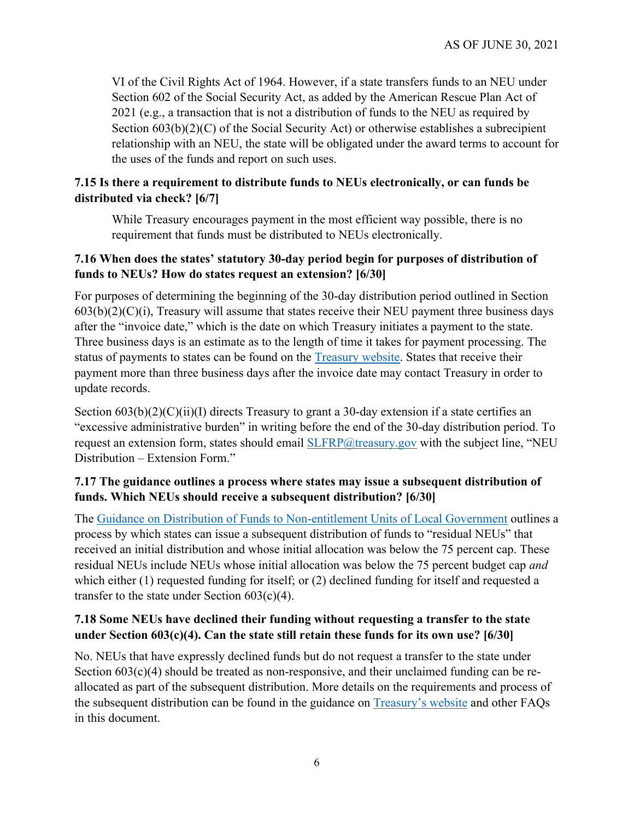VI of the Civil Rights Act of 1964. However, if a state transfers funds to an NEU under Section 602 of the Social Security Act, as added by the American Rescue Plan Act of 2021 (e.g., a transaction that is not a distribution of funds to the NEU as required by Section  $603(b)(2)(C)$  of the Social Security Act) or otherwise establishes a subrecipient relationship with an NEU, the state will be obligated under the award terms to account for the uses of the funds and report on such uses.

### **7.15 Is there a requirement to distribute funds to NEUs electronically, or can funds be distributed via check? [6/7]**

While Treasury encourages payment in the most efficient way possible, there is no requirement that funds must be distributed to NEUs electronically.

### **7.16 When does the states' statutory 30-day period begin for purposes of distribution of funds to NEUs? How do states request an extension? [6/30]**

For purposes of determining the beginning of the 30-day distribution period outlined in Section  $603(b)(2)(C)(i)$ , Treasury will assume that states receive their NEU payment three business days after the "invoice date," which is the date on which Treasury initiates a payment to the state. Three business days is an estimate as to the length of time it takes for payment processing. The status of payments to states can be found on the [Treasury website.](https://home.treasury.gov/policy-issues/coronavirus/assistance-for-state-local-and-tribal-governments/state-and-local-fiscal-recovery-fund/non-entitlement-units) States that receive their payment more than three business days after the invoice date may contact Treasury in order to update records.

Section  $603(b)(2)(C)(ii)(I)$  directs Treasury to grant a 30-day extension if a state certifies an "excessive administrative burden" in writing before the end of the 30-day distribution period. To request an extension form, states should email **SLFRP**@treasury.gov with the subject line, "NEU Distribution – Extension Form."

# **7.17 The guidance outlines a process where states may issue a subsequent distribution of funds. Which NEUs should receive a subsequent distribution? [6/30]**

The [Guidance on Distribution of Funds to Non-entitlement Units of Local Government](https://home.treasury.gov/system/files/136/NEU_Guidance.pdf) outlines a process by which states can issue a subsequent distribution of funds to "residual NEUs" that received an initial distribution and whose initial allocation was below the 75 percent cap. These residual NEUs include NEUs whose initial allocation was below the 75 percent budget cap *and* which either (1) requested funding for itself; or (2) declined funding for itself and requested a transfer to the state under Section  $603(c)(4)$ .

### **7.18 Some NEUs have declined their funding without requesting a transfer to the state under Section 603(c)(4). Can the state still retain these funds for its own use? [6/30]**

No. NEUs that have expressly declined funds but do not request a transfer to the state under Section  $603(c)(4)$  should be treated as non-responsive, and their unclaimed funding can be reallocated as part of the subsequent distribution. More details on the requirements and process of the subsequent distribution can be found in the guidance on [Treasury's website](https://home.treasury.gov/policy-issues/coronavirus/assistance-for-state-local-and-tribal-governments/state-and-local-fiscal-recovery-fund/non-entitlement-units) and other FAQs in this document.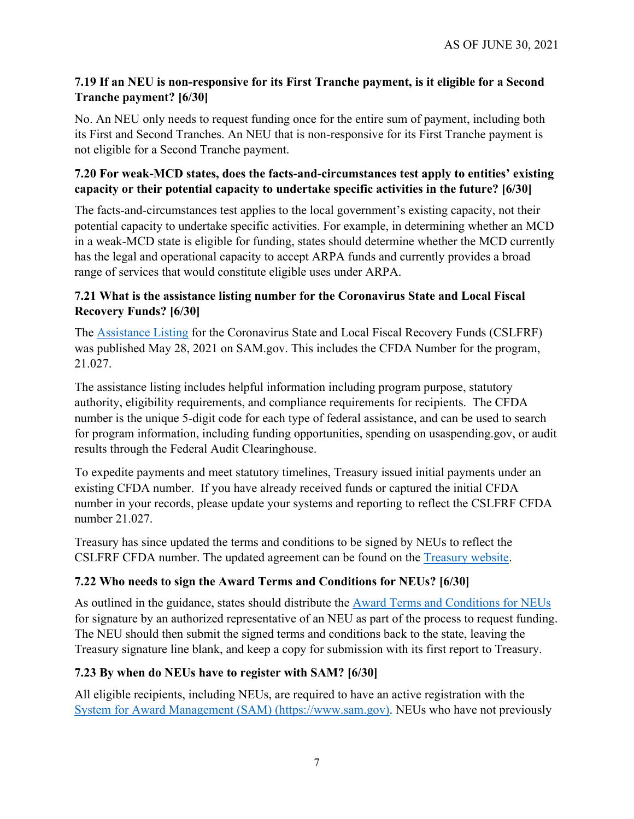# **7.19 If an NEU is non-responsive for its First Tranche payment, is it eligible for a Second Tranche payment? [6/30]**

No. An NEU only needs to request funding once for the entire sum of payment, including both its First and Second Tranches. An NEU that is non-responsive for its First Tranche payment is not eligible for a Second Tranche payment.

### **7.20 For weak-MCD states, does the facts-and-circumstances test apply to entities' existing capacity or their potential capacity to undertake specific activities in the future? [6/30]**

The facts-and-circumstances test applies to the local government's existing capacity, not their potential capacity to undertake specific activities. For example, in determining whether an MCD in a weak-MCD state is eligible for funding, states should determine whether the MCD currently has the legal and operational capacity to accept ARPA funds and currently provides a broad range of services that would constitute eligible uses under ARPA.

### **7.21 What is the assistance listing number for the Coronavirus State and Local Fiscal Recovery Funds? [6/30]**

The [Assistance Listing](https://sam.gov/fal/7cecfdef62dc42729a3fdcd449bd62b8/view) for the Coronavirus State and Local Fiscal Recovery Funds (CSLFRF) was published May 28, 2021 on SAM.gov. This includes the CFDA Number for the program, 21.027.

The assistance listing includes helpful information including program purpose, statutory authority, eligibility requirements, and compliance requirements for recipients. The CFDA number is the unique 5-digit code for each type of federal assistance, and can be used to search for program information, including funding opportunities, spending on usaspending.gov, or audit results through the Federal Audit Clearinghouse.

To expedite payments and meet statutory timelines, Treasury issued initial payments under an existing CFDA number. If you have already received funds or captured the initial CFDA number in your records, please update your systems and reporting to reflect the CSLFRF CFDA number 21.027.

Treasury has since updated the terms and conditions to be signed by NEUs to reflect the CSLFRF CFDA number. The updated agreement can be found on the [Treasury website.](https://home.treasury.gov/policy-issues/coronavirus/assistance-for-state-local-and-tribal-governments/state-and-local-fiscal-recovery-fund/non-entitlement-units)

# **7.22 Who needs to sign the Award Terms and Conditions for NEUs? [6/30]**

As outlined in the guidance, states should distribute the [Award Terms and Conditions for NEUs](https://home.treasury.gov/system/files/136/NEU_Award_Terms_and_Conditions.pdf) for signature by an authorized representative of an NEU as part of the process to request funding. The NEU should then submit the signed terms and conditions back to the state, leaving the Treasury signature line blank, and keep a copy for submission with its first report to Treasury.

# **7.23 By when do NEUs have to register with SAM? [6/30]**

All eligible recipients, including NEUs, are required to have an active registration with the [System for Award Management \(SAM\) \(https://www.sam.gov\).](https://www.sam.gov/) NEUs who have not previously